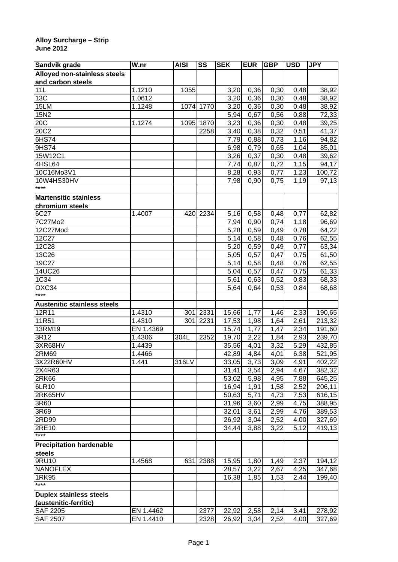## **Alloy Surcharge – Strip June 2012**

| Sandvik grade                      | W.nr      | <b>AISI</b> | SS        | <b>SEK</b>        | <b>EUR</b> | <b>GBP</b> | <b>USD</b>        | <b>JPY</b> |
|------------------------------------|-----------|-------------|-----------|-------------------|------------|------------|-------------------|------------|
| Alloyed non-stainless steels       |           |             |           |                   |            |            |                   |            |
| and carbon steels                  |           |             |           |                   |            |            |                   |            |
| 11L                                | 1.1210    | 1055        |           | 3,20              | 0,36       | 0,30       | 0,48              | 38,92      |
| 13C                                | 1.0612    |             |           | 3,20              | 0,36       | 0,30       | 0,48              | 38,92      |
| 15LM                               | 1.1248    |             | 1074 1770 | 3,20              | 0,36       | 0,30       | 0,48              | 38,92      |
| 15N2                               |           |             |           | $\overline{5,94}$ | 0,67       | 0,56       | 0,88              | 72,33      |
| 20C                                | 1.1274    | 1095        | 1870      | 3,23              | 0,36       | 0,30       | 0,48              | 39,25      |
| 20C2                               |           |             | 2258      | 3,40              | 0,38       | 0,32       | 0,51              | 41,37      |
| 6HS74                              |           |             |           | 7,79              | 0,88       | 0,73       | 1,16              | 94,82      |
| 9HS74                              |           |             |           | 6,98              | 0,79       | 0,65       | 1,04              | 85,01      |
| 15W12C1                            |           |             |           | 3,26              | 0,37       | 0,30       | 0,48              | 39,62      |
| 4HSL64                             |           |             |           | 7,74              | 0,87       | 0,72       | $\overline{1,15}$ | 94,17      |
| 10C16Mo3V1                         |           |             |           | 8,28              | 0,93       | 0,77       | 1,23              | 100,72     |
| 10W4HS30HV                         |           |             |           | 7,98              | 0,90       | 0,75       | 1,19              | 97,13      |
| $***$                              |           |             |           |                   |            |            |                   |            |
| <b>Martensitic stainless</b>       |           |             |           |                   |            |            |                   |            |
| chromium steels                    |           |             |           |                   |            |            |                   |            |
| 6C27                               | 1.4007    | 420         | 2234      | 5,16              | 0,58       | 0,48       | 0,77              | 62,82      |
| 7C27Mo2                            |           |             |           | 7,94              | 0,90       | 0,74       | 1,18              | 96,69      |
| 12C27Mod                           |           |             |           | 5,28              | 0,59       | 0,49       | 0,78              | 64,22      |
| 12C27                              |           |             |           | 5,14              | 0,58       | 0,48       | 0,76              | 62,55      |
| 12C28                              |           |             |           | 5,20              | 0,59       | 0,49       | 0,77              | 63,34      |
| 13C26                              |           |             |           | 5,05              | 0,57       | 0,47       | 0,75              | 61,50      |
| 19C27                              |           |             |           | 5,14              | 0,58       | 0,48       | 0,76              | 62,55      |
| 14UC26                             |           |             |           | 5,04              | 0,57       | 0,47       | 0,75              | 61,33      |
| 1C34                               |           |             |           | 5,61              | 0,63       | 0,52       | 0,83              | 68,33      |
| OXC34                              |           |             |           | 5,64              | 0,64       | 0,53       | 0,84              | 68,68      |
| ****                               |           |             |           |                   |            |            |                   |            |
| <b>Austenitic stainless steels</b> |           |             |           |                   |            |            |                   |            |
| 12R11                              | 1.4310    | 301         | 2331      | 15,66             | 1,77       | 1,46       | 2,33              | 190,65     |
| 11R51                              | 1.4310    | 301         | 2231      | 17,53             | 1,98       | 1,64       | 2,61              | 213,32     |
| 13RM19                             | EN 1.4369 |             |           | 15,74             | 1,77       | 1,47       | 2,34              | 191,60     |
| 3R12                               | 1.4306    | 304L        | 2352      | 19,70             | 2,22       | 1,84       | 2,93              | 239,70     |
| 3XR68HV                            | 1.4439    |             |           | 35,56             | 4,01       | 3,32       | 5,29              | 432,85     |
| 2RM69                              | 1.4466    |             |           | 42,89             | 4,84       | 4,01       | 6,38              | 521,95     |
| 3X22R60HV                          | 1.441     | 316LV       |           | 33,05             | 3,73       | 3,09       | 4,91              | 402,22     |
| 2X4R63                             |           |             |           | 31,41             | 3,54       | 2,94       | 4,67              | 382,32     |
| 2RK66                              |           |             |           | 53,02             | 5,98       | 4,95       | 7,88              | 645,25     |
| 6LR10                              |           |             |           | 16,94             | 1,91       | 1,58       | 2,52              | 206,11     |
| 2RK65HV                            |           |             |           | 50,63             | 5,71       | 4,73       | 7,53              | 616,15     |
| 3R60                               |           |             |           | 31,96             | 3,60       | 2,99       | 4,75              | 388,95     |
| 3R69                               |           |             |           | 32,01             | 3,61       | 2,99       | 4,76              | 389,53     |
| 2RD99                              |           |             |           | 26,92             | 3,04       | 2,52       | 4,00              | 327,69     |
| 2RE10                              |           |             |           | 34,44             | 3,88       | 3,22       | 5,12              | 419,13     |
| $***$                              |           |             |           |                   |            |            |                   |            |
| <b>Precipitation hardenable</b>    |           |             |           |                   |            |            |                   |            |
|                                    |           |             |           |                   |            |            |                   |            |
| steels<br>9RU10                    | 1.4568    | 631         | 2388      | 15,95             | 1,80       | 1,49       | 2,37              | 194,12     |
| <b>NANOFLEX</b>                    |           |             |           | 28,57             | 3,22       |            | 4,25              | 347,68     |
| 1RK95                              |           |             |           | 16,38             |            | 2,67       |                   | 199,40     |
| $***$                              |           |             |           |                   | 1,85       | 1,53       | 2,44              |            |
|                                    |           |             |           |                   |            |            |                   |            |
| <b>Duplex stainless steels</b>     |           |             |           |                   |            |            |                   |            |
| (austenitic-ferritic)              |           |             |           |                   |            |            |                   |            |
| <b>SAF 2205</b>                    | EN 1.4462 |             | 2377      | 22,92             | 2,58       | 2,14       | 3,41              | 278,92     |
| <b>SAF 2507</b>                    | EN 1.4410 |             | 2328      | 26,92             | 3,04       | 2,52       | 4,00              | 327,69     |